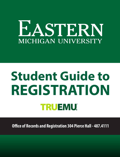# **EASTERN MICHIGAN UNIVERSITY**

# **Student Guide to REGISTRATIONTRUEMU**

**Office of Records and Registration 304 Pierce Hall - 487.4111**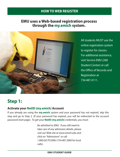## **HOW TO WEB REGISTER**

## **EMU uses a Web-based registration process through the my.emich system.**



All students MUST use the online registration system to register for classes. For additional assistance, visit Service EMU (268 Student Center) or call the Office of Records and Registration at 734.487.4111.

# **Step 1:**

## **Activate your NetID (my.emich) Account**

If you already are using the **my.emich** system and your password has not expired, skip this step and go to Step 2. (If your password has expired, you will be redirected to the account password reset page). To get your **NetID (my.emich)** credentials, you must:

> Be admitted to EMU. If you still need to take care of any admission details, please visit our Web site at www.emich.edu and click on "Admissions" or call 1.800.GO.TO.EMU (734.487.3060 for local calls).

#### **EMU STUDENT GUIDE**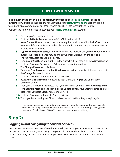**If you meet these criteria, do the following to get your NetID (my.emich) account** 

**information.** (Detailed instructions for activating your **NetID (my.emich)** account can be found at http://www.emich.edu/it/passwords/emich/create\_account/index.php) Perform the following steps to activate your **NetID (my.emich)** account:

- **1.** Go to https://account.emich.edu.
- **2.** Click the **Activate Account** button (DO NOT fill-in the fields). **Note:** The **Verification** process may not be required at all times. Click the **Refresh** button to obtain different verification codes. Click the **Audio** button to toggle between text and audible verification codes.
- **3. Type the verification code(s)** in the field below the code(s) displayed then Click the Verify button (the codes displayed may be one or two typed words, or an image of text). The Activate Account page is displayed.
- **4.** Type in your **NetID** and **EID** numbers in the respective fields then click the **Activate** button.
- **5.** Click the **Continue Button** in the Activation Confirmation window. The **Change Password** is displayed.
- **6.** Type your **New Password** and **Confirm Password** in the respective fields and then click the **Change Password** button.
- **7.** Click the **Continue** button in the Success window.
- **8.** Review the **Update Profile** window and then check the **I Agree** box and click the **Continue** button.
- **9.** Type your alternate email address (NOT your EMU email address) in the **Alternate Email for Password reset** field and then click the **Update** button. Your alternate email address is used when you reset a forgotten your password.
- **10.** Click the **Continue** button in the Success window.
- **11.** The **Logout** window displays. Close your browser before attempting to log in again.

If you experience problems activating your account, check the supported browsers page to ensure you are using a compatible system and browser. If you have further questions, please contact the I.T. Help Desk at 734.487.2120 or visit them in 106 Halle Library.

## **Step 2:**

## **Logging in and navigating to Student Services**

Use your Web Browser to go to **http://netid.emich. edu**, and enter your username and password in the spaces provided. When you are ready to register, select the Student tab. Scroll down to the "Registration" link, and then click "Add or Drop Classes". Follow the instructions to enroll in your classes.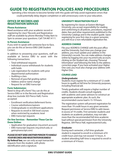## **GUIDE TO REGISTRATION POLICIES AND PROCEDURES**

Spending a few minutes to become familiar with this guide will help avoid registration errors that could potentially delay degree completion or add unnecessary costs to your education.

#### **OFFICE OF RECORDS AND REGISTRATION SERVICES**

#### **Phone Assistance:**

Need assistance with your academic record or registering for class? Records and Registration staff are available by phone Monday-Friday 8am to 5pm to answer your questions. Call 734.487.4111.

#### **In Person Assistance:**

If you wish to speak with someone face-to-face, you can do this at Service EMU (268 Student Center).

In addition to answering your questions, staff are available at Service EMU to assist with the following transactions:

- Total withdrawal requests
- Individual course withdrawals for students with holds
- Late registration for students with prior departmental authorization
- Auditing a class
- Removal of pass/fail grading option
- Address and/or name change
- Request for an EMU transcript

#### **Form Submission:**

Need to drop off a form? You can do this at Service EMU or in the Records and Registration drop box (outside 303 Pierce Hall). Forms accepted:

- Enrollment verification/deferment forms
- Course substitutions/waivers
- Undergraduate re-enrollment applications
- Requests to enroll in 500 level courses when restricted by academic level
- EMU transcript requests

#### **On-line Services – Remember These Can be Done Online:**

- Application for graduation (my.emich account)
- EMU transcript requests (my.emich.edu or getmytranscript.com)

#### *PLEASE DO NOT SEND ANOTHER PERSON TO HANDLE YOUR RECORDS AND REGISTRATION BUSINESS!*

**By federal law,** we can only accept transaction requests from the student, with photo identification and a signature.

#### **UNIVERSITY REGISTRATION POLICY**

By registering for classes at Eastern Michigan University, you accept responsibility for reading and conforming to all policies, procedures, required dates, fees and other requirements published in the University Catalogs and in the student guide. Upon registering for your first class in a given semester, you will incur a non-refundable registration fee.

#### **ADDRESS CHANGE**

File your ADDRESS CHANGE with the post office and the University. Each time you change your address, you must update your address in the University's records. You can make address changes online by logging into your my.emich.edu account, clicking on the Student tab, choosing"Personal Information"and following the links to the address correction page. If you have activated your Higher One card, you must also change your address with Higher One.

#### **COURSE LOAD**

#### *Undergraduate:*

Students must register for a minimum of 12 credit hours to qualify as full time for University purposes, including financial aid.

Timely graduation will require a higher number of credits. Students should consult regularly with academic and career advisors to construct an appropriate academic plan. As such, the recommended course load is 15-19 hours.

The registration system will prevent registration for more than 19 credit hours in any given semester. Request permission at Service EMU to add classes in excess of 19 credits. First semester students and students on academic probation, may not take more than the recommended full-time academic load without special permission from the University Registrar, 304 Pierce Hall, registrar@emich.edu.

#### *Graduate:*

During each semester, a full time graduate student is required to enroll in a minimum of 8 credit hours and may not exceed 15 hours. A student attending half-time is required to enroll in a minimum of 4 hours.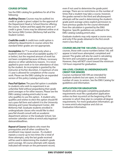#### **COURSE OPTIONS**

See the EMU catalog for guidelines for all of the following:

*Auditing Classes:* Courses may be audited (no credit or grade is given) subject to the approval of the Department Head or School Director offering the course. Tuition and fees apply the same as if credit is given. Forms may be obtained online or at the Service EMU Centers (McKenny Hall and the Student Center).

*Credit/No credit:* A credit/non credit option is utilized by departments in courses where the standard letter grades are not appropriate.

*Incompletes:* An "I" is awarded only when a student's work has been of acceptable quality ("C" or better), but the required amount of work has not been completed because of illness, necessary absence or other satisfactory reasons. It is never applied to poor work or to non-attendance of class by the student. An incomplete is granted by the instructor at his/her discretion. A maximum of one (1) year is allowed for completion of the course work. Please see the EMU catalog for an expanded version of this policy (catalog.emich.edu).

*Pass/Fail Option:* The pass/fail option is available to students who wish to experiment in an unfamiliar field without jeopardizing their grade point averages or for other reasons. Please see the EMU catalog (catalog.emich.edu) to see who qualifies to use this option. A student who qualifies and wishes to elect this option should fill out a pass-fail form and submit it to the University Advising and Career Development Center, 200 McKenny Hall. Graduate students enrolled in undergraduate classes who would like to elect pass/fail should consult with an academic department advisor or the Graduate School. See semester calendars online at emich.edu/registrar/ datesanddeadlines.

*Repeat of Course:* Students who meet the prerequisites and all other conditions for enrollment may repeat courses. If a student repeats a course up to two times (for a total of three attempts), only the last grade received will be used in determining the student's grade point average. All course attempts with repeats indicated will remain on the permanent record,

even if not used to determine the grade point average. There are no restrictions on the number of times that a student may take a course, however, the grades earned in the third and allsubsequent attempts will be used in determining the student's grade point average unless explicit permission to have previous grades for the course eliminated from the calculation is granted by the EMU Registrar. Specific guidelines are outlined in the EMU catalog (catalog.emich.edu).

Graduate students may only repeat a course once, and only if the grade obtained in the first enrollment is less than a B.

**COURSES BELOW THE 100 LEVEL** Developmental courses, those with course numbers below 100, will appear in total hours attempted, completed and passed. The grades will also be used in calculating the term and cumulative grade point average. However, they will NOT count toward the minimum 124 hours required for graduation.

#### **500-LEVEL COURSES AS UNDERGRADUATE CREDIT FOR SENIORS**

Courses numbered 500-599 are intended for graduate students but are open, in a limited number of cases, to seniors. See the EMU Catalog for guidelines and information.

#### **APPLICATION FOR GRADUATION**

Students who anticipate completing graduation requirements must file a graduation application online via their my.emich at the beginning of the semester in which they plan to complete all degree requirements. For more graduation information, go to www.emich.edu/registrar and click on Graduation Information.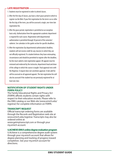#### **LATE REGISTRATION**

- 1. Students must be registered in order to attend classes.
- 2. After the first day of classes, you have a short grace period in which to register via the Web. If your first registration for the term is on or after the first day of the term, you will be assessed a single, one-time late registration fee.
- 3. After the grace period, registration is permitted on an exception basis only. Authorization from the appropriate academic department is required for each course. Registration with departmental authorization is permitted through 50 percent of the semester/ subterm. See calendars in this guide section for specific deadlines.
- 4. After the registration (by departmental authorization) deadline, students will not receive credit for any class(es) in which they are not officially registered. If a student believes they have extenuating circumstances and should be permitted to register after the deadline, he/she must submit a late registration appeal. All appeals must be reviewed and endorsed by the instructor, department head and dean of the college in which the course is taught. Final approval rests with the Registrar. A request does not constitute approval. A late add fee will be assessed on all approved appeals. The late registration fee will also be assessed if the student has not previously registered for at least one class

#### **NOTIFICATION OF STUDENT RIGHTS UNDER FERPA POLICY**

The Family Educational Rights and Privacy Act (FERPA) affords students certain rights with respect to their education records. Please refer to the EMU catalog or our Web site (www.emich.edu/ registrar) for complete information on FERPA.

#### **TRANSCRIPT REQUEST**

Official transcript ordering forms are available through the Records and Registration web site at www.emich.edu/registrar. Transcripts may also be ordered online at:

www.getmytranscript.com or through your my.emich account.

#### **U.ACHIEVE-EMU's online degree evaluation program**

U.Achieve is a comprehensive degree audit system through your my.emich account that allows for degree planning and tracking of progress toward completion. See your my.emich account for directions.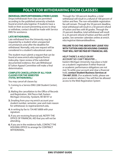## **POLICY FOR WITHDRAWING FROM CLASS(ES)**

#### **INDIVIDUAL DROPS/WITHDRAWALS FROM CLASSES**

Drops/withdrawals from class are permitted according to the published university schedule found at emich.edu/registrar. If students have a hold on their account preventing access to drop or withdraw, contact should be made with Service EMU for assistance.

#### **LATE WITHDRAWAL**

Late withdrawal from the University may be requested by a student when unexpected circumstances arise after the deadline for withdrawal. Normally, only one request will be considered in a student's educational career.

The student must submit a request that can be found at www.emich.edu/registrar/forms/ index.php. Upon review of the submitted documented evidence, the Late Withdrawal & Tuition Appeal Committee will make a final determination.

#### **COMPLETE CANCELLATION OF ALL YOUR CLASSES FOR THE SEMESTER (TOTAL WITHDRAWAL)**

You may cancel all classes by:

- **1.** Coming to a Service EMU (268 Student Center), or
- **2.** Mailing the cancellation to the Office of Records and Registration, 304 Pierce Hall, Eastern Michigan University, Ypsilanti, MI 48197 or
- **3.** Emailing from your my.emich account your student number, semester, year and main reason for withdrawal, to registrar@emich.edu.
- **4.** In writing by fax to 734.487.6808 with your signature.
- **5.** If you are receiving financial aid, NOTIFY THE OFFICE OF FINANCIAL AID that you will not be attending.
- **6.** If you are in the residence halls, CONTACT THE HOUSING OFFICE to arrange for CONTRACT WITHDRAWAL.

Through the 100 percent deadline, a total withdrawal will result in a refund of 100 percent of tuition and fees. The non-refundable registration fee will remain. Through the 50 percent deadline, total withdrawal will result in a 50 percent refund of tuition and fees with W grades. Through the 25 percent deadline, total withdrawal will result in a 25 percent refund of tuition and fees and W grades. See semester calendars online at emich. edu/registrar/datesanddeadlines.

#### **FAILURE TO DO THE ABOVE MAY LEAVE YOU WITH TUITION AND/OR HOUSING CHARGES THAT WILL NOT BE PAID BY FINANCIAL AID.**

#### **HELP! THERE'S A HOLD ON MY ACCOUNT SO I CAN'T REGISTER ...**

Eastern Michigan University may place a hold on a student's registration if either financial or academic performance obligations are not met. To settle your account and clear a financial hold, **contact Student Business Services at 734.487.3335.** (For academic holds, please see your academic advisor.) You will then be allowed access to the Web Registration System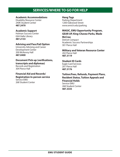## **SERVICES/WHERE TO GO FOR HELP**

#### **Academic Accommodations**

Disability Resource Center 240K Student Center **487.2470**

#### **Academic Support**

Holman Success Center G04 Halle Library **487.2133**

#### **Advising and Pass/Fail Option**

University Advising and Career Development Center 200 McKenny Hall **487.0400**

#### **Document Pick-up (verifications, transcripts and diplomas)** Records and Registration

304 Pierce Hall

### **Financial Aid and Records/**

**Registration In-person service** Service EMU 268 Student Center

#### **Hang Tags**

Parking Department 1200 Oakwood Street www.emich.edu/parking

#### **MAGIC, EMU Opportunity Program, GEAR UP, King-Chavez-Parks, Wade**

**McCree**  Detroit Compact Academic Success Partnerships 301 Pierce Hall

#### **Military and Veteran Resource Center** 202 Pierce Hall

**487.3119**

#### **Student ID Cards**

Eagle Card Services 201 Pierce Hall **487.3176**

#### **Tuition/Fees, Refunds, Payment Plans, Resident Status, Tuition Appeals and Financial Holds**

Service EMU 268 Student Center **487.3335**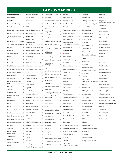## **CAMPUS MAP INDEX**

| <b>Building Index (numerical)</b>                                | Co                               |
|------------------------------------------------------------------|----------------------------------|
| Sculpture Studio  2                                              | Pe                               |
| Central Stores  3                                                | U                                |
| Department of Public Safety 8                                    | $6^{\degree}$                    |
| Heating Plant 10                                                 | EN                               |
| Parking Structure11                                              | Co                               |
| Halle Library 12                                                 | Ea                               |
| <b>Terrestrial and Aquatics Ecology</b><br>Research Facility  13 | $\overline{a}$<br>$\overline{a}$ |
| Science Complex. 14                                              | R)                               |
| Strong Physical Science Building. 15                             | $\mathcal{N}$                    |
| Briggs Hall17                                                    | 0                                |
| McKenny Hall 18                                                  | Te                               |
| Administration Building19                                        | 0                                |
| Welch Hall 19                                                    | $\overline{a}$                   |
| Starkweather Hall 20                                             | St                               |
|                                                                  | B                                |
| Hover Building22                                                 | 52                               |
| Rackham Building23                                               | 60                               |
| Geddes Town Hall School House 24                                 | 6 <sup>1</sup>                   |
| Bowen Field House 25                                             | Α                                |
| Warner Gymnasium 26                                              | Al                               |
| <b>Olds-Robb Student Recreation</b><br>Center 27                 | B<br>Β                           |
| Lake House 28                                                    | Bı                               |
|                                                                  | Ćε                               |
| Snow Health Center  30                                           | $\overline{a}$                   |
| Porter College of Education                                      | Co                               |
| Marshall Building32                                              | Co                               |
| King Hall33                                                      | Co                               |
| Ford Hall 34                                                     | Co                               |
| Martin Luther King Jr. Gardens 35                                | D١                               |
| Boone Hall36                                                     | Ea                               |
| Pierce Hall 37                                                   | EN                               |
| Roosevelt Hall 38                                                | Fo                               |
| Pray-Harrold Classroom Building 39                               | G                                |
| Physical Plant43                                                 | H                                |
|                                                                  | Н١                               |
| <b>Ouirk Dramatic Arts</b><br>Building/Theatre 52                | H<br>Jo                          |
| Sponberg Theatre 52                                              | Ki                               |
| 600W. Forest 54                                                  | La                               |
| Alexander Music Building 55                                      | S                                |
| Sill Hall 56                                                     | M                                |

| Coatings Research Institute 57        | Martin                        |
|---------------------------------------|-------------------------------|
| Pease Auditorium 58                   | McKen                         |
| University House 59                   | <b>Oestrik</b>                |
|                                       | Olds-M                        |
| EMU Foundation  61                    | Olds-R                        |
| Corporate Education Center 62         | Center                        |
| Eagle Crest Golf Club 63              | Parkin                        |
| College of Business 64                | Pease                         |
| Convocation Center 65                 | Physic                        |
| Rynearson Stadium<br>(West Campus) 66 | Pierce <sup>l</sup><br>Porter |
| Olds-MarshallTrack(WestCampus)66a     | Buildir                       |
| Team Building (West Campus) 67        | Pray-H                        |
| 0estrike Stadium (West Campus) 68     | Quirk D<br>Buildir            |
|                                       | Rackha                        |
|                                       | <b>Roosey</b>                 |
| Building Index (alphabetical)         | Rynear                        |
|                                       | (West                         |
| 600W. Forest54                        | Sculpt                        |
|                                       | Sherze                        |
| Administration Building19             | Sill Hal                      |
| Alexander Music Building 55           | Snow <b>H</b>                 |
|                                       | Sponb                         |
| Bowen Field House 25                  | Starkw                        |
|                                       | Strong                        |
| Central Receiving 3                   | Studer                        |
| Coatings Research Institute 57        | Team E                        |
| College of Business 64                | Terrest<br>Resear             |
| Convocation Center 65                 | <b>Univer</b>                 |
| Cooper Building70                     | Warne                         |
| Corporate Education Center 62         | Welch                         |
| Department of Public Safety 8         | Housi                         |
| Eagle Crest Golf Club63               | Best Ro                       |
| EMU Foundation  61                    | Brown                         |
|                                       | <b>Buell F</b>                |
| Geddes Town Hall School House 24      | Cornell                       |
|                                       | The Co                        |
|                                       | Dining                        |
|                                       | Downi                         |
|                                       | Eastern                       |
|                                       | Godda                         |
|                                       | Hill Res                      |
| Science Complex 14                    | Housin                        |
| Marshall Building 32                  |                               |

| Martin Luther King Jr.Gardens 35                                | H                   |
|-----------------------------------------------------------------|---------------------|
| McKenny Hall. 18                                                | J                   |
| 0estrike Stadium (West Campus)  . 68                            | N                   |
| Olds-MarshallTrack(WestCampus)66a                               | P                   |
| <b>Olds-Robb Student Recreation</b>                             | P                   |
| Parking Structure 11                                            | P                   |
| Pease Auditorium 58                                             | S                   |
| Physical Plant 43                                               | V                   |
|                                                                 | W                   |
| Porter College of Education                                     | W<br>(              |
| Pray-Harrold Classroom Building39                               | W                   |
| Quirk Dramatic Arts<br>Building/Theatre 52                      | D<br>×              |
| Rackham Building23                                              | Α                   |
| Roosevelt Hall 38                                               | U                   |
| Rynearson Stadium<br>(West Campus) 66                           | Ċ                   |
| Sculpture Studio 2                                              | C                   |
|                                                                 | C                   |
|                                                                 | G                   |
| Snow Health Center 30                                           | H<br>H              |
| Sponberg Theatre 52                                             | N                   |
| Starkweather Hall 20                                            | P,                  |
| Strong Physical Science Building15                              | P                   |
| Student Center71                                                | P                   |
| Team Building (West Campus)67                                   | P                   |
| <b>Terrestrial and Aquatics Ecology</b><br>Research Facility 13 | R                   |
| University House 59                                             | S                   |
| Warner Gymnasium 26                                             | S                   |
|                                                                 | ς.                  |
| <b>Housing and Dining Facilities</b>                            | S                   |
| Best Residence Hall 50                                          | W                   |
| Brown Apartments 16A                                            | P                   |
| 80.  Buell Residence Hall                                       | c                   |
| Cornell Courts Apartments 1                                     | S                   |
| The Commons 48                                                  | D                   |
| 048.                                                            | Ν                   |
| Downing Residence Hall 49                                       | V                   |
| Eastern Eateries 44                                             | Q                   |
| Goddard Residence Hall 53A                                      | R                   |
| Hill Residence Hall 5                                           | С                   |
| Housing Office 48                                               | U<br>$\mathfrak{g}$ |

| Jones Residence Hall 53                                   |
|-----------------------------------------------------------|
| Munson Residence Hall 16                                  |
| Phelps Residence Hall 42                                  |
| Pittman Residence Hall 7                                  |
| Putnam Residence Hall 45                                  |
| Sellers Residence Hall 41                                 |
| Village Residence Halls 4                                 |
| Walton Residence Hall 46                                  |
| <b>Westview Apartments</b><br>(West Campus)<br>. 69       |
| Wise Residence Hall  47                                   |
| <b>Department Index</b>                                   |
|                                                           |
| Alumni Relations 61                                       |
| Univ.Advising&CareerDevelopment18                         |
| Cashier's Office 37                                       |
| Children's Institute<br>.23                               |
| Crime Prevention Office<br>. . 8                          |
| Graduate School 36                                        |
|                                                           |
| Human Resources<br>. 18                                   |
| Mail Room<br>$\dots$ 3                                    |
| Parking Department<br>$\ldots$ . 8                        |
| Public Information 19                                     |
| Public Safety<br>. . 8                                    |
|                                                           |
| Records and Registration 37                               |
| Shipping and Receiving 3                                  |
| Special Education<br>$\ldots$ .31<br>$\ddot{\phantom{a}}$ |
| Student Government 71                                     |
| Student Involvement 71                                    |
| WEMU-89FM33                                               |
| <b>Parking Facilities Index</b>                           |
| <b>Commuter Hangtag Parking</b>                           |
| S Ann Street Lot                                          |
| D2 Bowen Lot (Commuter Sections)                          |
| N Bowman-Roosevelt Lot (after 5 p.m.)                     |
| V College of Business Structure                           |
| Q Ford Lot A (after 7:30 p.m.)                            |
| R Ford Lot B                                              |
| C Hoyt Lot                                                |
| U Key Bank Lot<br>(after 6 p.m., M-Th, fall & winter)     |

Z Mayhew Lot 1 Z2 Mayhew Lot 2 F McKenny Staff Lot (after 5 p.m.) L Normal Street Lot (after 6:30 p.m.) I Green Lot 1 (NCL1) B Green Lot 2 (NCL2) D1 Oakwood Lot (North) E Oakwood Lot (South) D Parking Structure O2 Pease Lot P Pease Lot (after 5 p.m.) T Sill Lot (after 5 p.m.) W Washington Street Lot **Graduate Assistant Hangtag Parking** S Ann Street Lot D2 Bowen Lot N Bowman-Roosevelt Lot V College of Business Structure Q Ford Lot (after 7:30 p.m.) C Hoyt Lot U Key Bank Lot (after 6 p.m.,M-TH, fall and winter) Z Mayhew Lot 1 Z2 Mayhew Lot 2 F McKenny Staff Lot (after 5 p.m.) L Normal Street Lot I Green Lot 1 (NCL1) B Green Lot 2 (NCL2) D1 Oakwood Lot (North) E Oakwood Lot (South) D Parking Structure O2 Pease Lot P Pease Lot (after 5 p.m.) T Sill Lot M Snow Lot W Washington Street Lot **Faculty/Staff Hangtag Parking** S Ann Street Lot D2 Bowen Lot N Bowman-Roosevelt Lot V College of Business Structure

Q Ford Lot A C Hoyt Lot U Key Bank Lot (after 6 p.m.,M-TH, fall and winter) Z Mayhew Lot I Z2 Mayhew Lot 2 F McKenny Staff Lot L Normal Street Lot A B Green Lot 2 (NCL2) L2 611 W. Cross Lot D1 Oakwood Lot (North) E Oakwood Lot (South) D Parking Structure O2 Pease Lot P Pease Lot T Sill Lot M Snow Lot W Washington Street Lot I Green Lot 1 (NCL1) **Reserved Parking Areas** Y Ford Reserved K Normal Reserved J Smith Reserved **Guest Parking Areas** T2 Alexander Lot (\$1 per hour) G McKenny Lot (\$1 per hour) O Pease Lot (\$1 per hour) D3 Oakwood Paid Lot (\$1 per hour) A Student Center Lot (\$1 per hour) **Residence Hangtag Parking Lots** C Hoyt Lot Z Mayhew Lot 1 I Green Lot 1 (NCL1) B Green Lot 2 (NCL2) Z2 Mayhew Lot 2